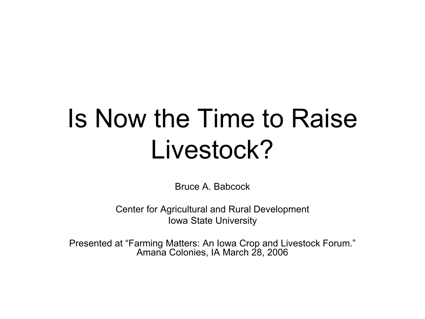## Is Now the Time to Raise Livestock?

Bruce A. Babcock

Center for Agricultural and Rural Development Iowa State University

Presented at "Farming Matters: An Iowa Crop and Livestock Forum." Amana Colonies, IA March 28, 2006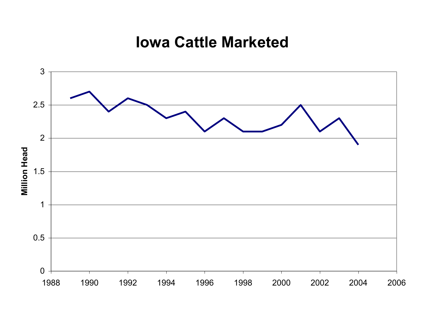#### **Iowa Cattle Marketed**

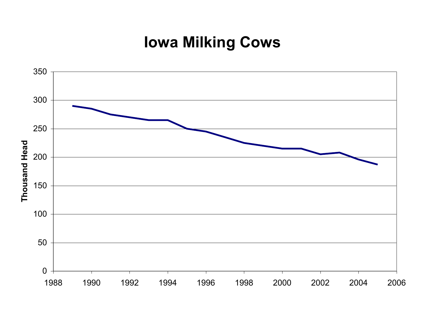### **Iowa Milking Cows**

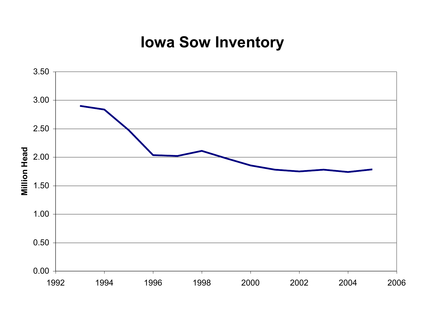### **Iowa Sow Inventory**

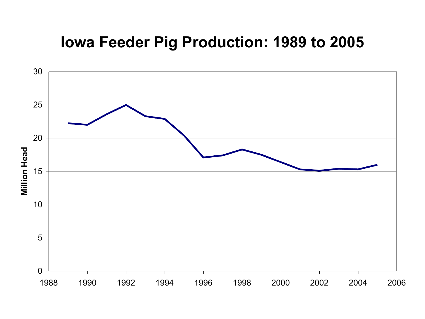#### **Iowa Feeder Pig Production: 1989 to 2005**

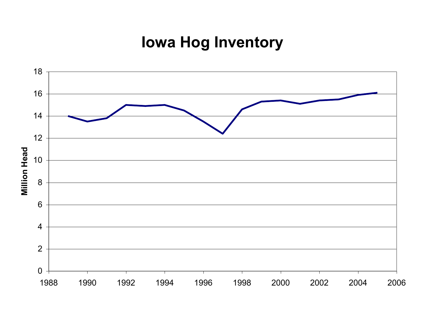### **Iowa Hog Inventory**

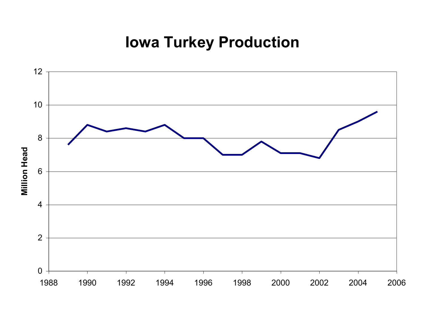### **Iowa Turkey Production**

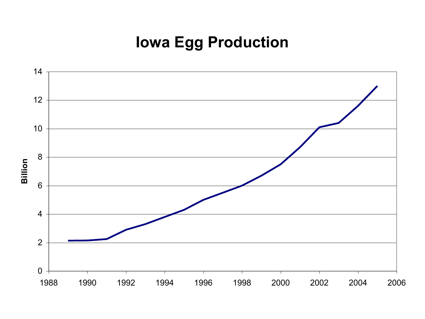### **Iowa Egg Production**

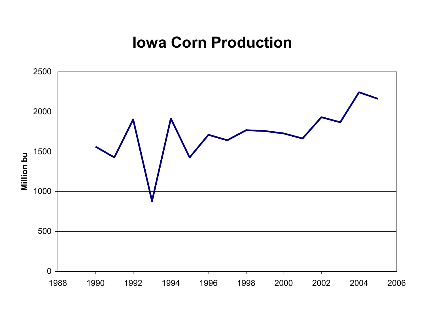#### **Iowa Corn Production**

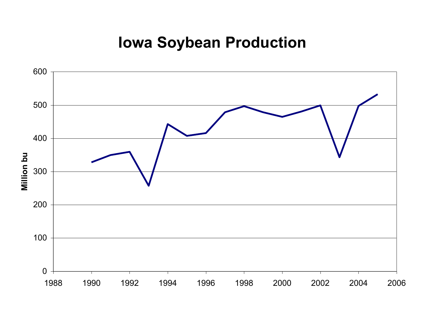### **Iowa Soybean Production**

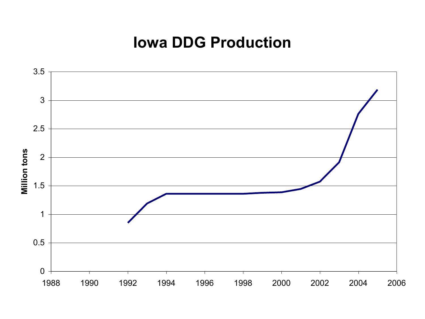#### **Iowa DDG Production**

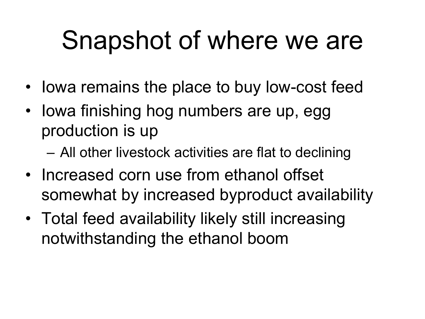## Snapshot of where we are

- Iowa remains the place to buy low-cost feed
- Iowa finishing hog numbers are up, egg production is up
	- All other livestock activities are flat to declining
- Increased corn use from ethanol offset somewhat by increased byproduct availability
- Total feed availability likely still increasing notwithstanding the ethanol boom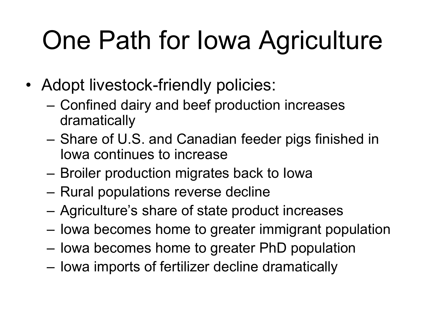## One Path for Iowa Agriculture

- Adopt livestock-friendly policies:
	- Confined dairy and beef production increases dramatically
	- Share of U.S. and Canadian feeder pigs finished in Iowa continues to increase
	- Broiler production migrates back to Iowa
	- Rural populations reverse decline
	- Agriculture's share of state product increases
	- Iowa becomes home to greater immigrant population
	- Iowa becomes home to greater PhD population
	- Iowa imports of fertilizer decline dramatically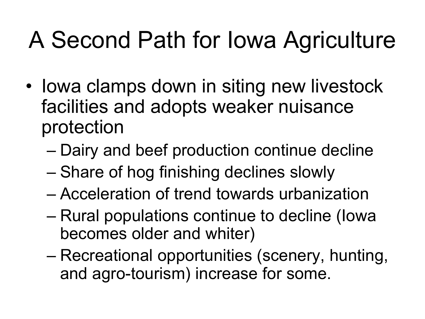### A Second Path for Iowa Agriculture

- Iowa clamps down in siting new livestock facilities and adopts weaker nuisance protection
	- Dairy and beef production continue decline
	- Share of hog finishing declines slowly
	- Acceleration of trend towards urbanization
	- Rural populations continue to decline (Iowa becomes older and whiter)
	- Recreational opportunities (scenery, hunting, and agro-tourism) increase for some.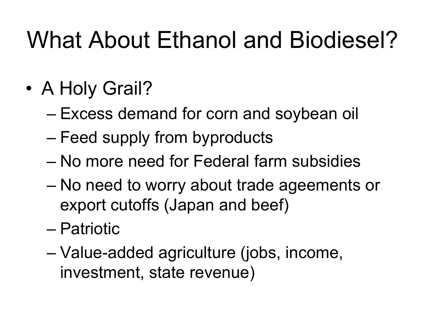### What About Ethanol and Biodiesel?

- A Holy Grail?
	- Excess demand for corn and soybean oil
	- Feed supply from byproducts
	- No more need for Federal farm subsidies
	- No need to worry about trade ageements or export cutoffs (Japan and beef)
	- Patriotic
	- Value-added agriculture (jobs, income, investment, state revenue)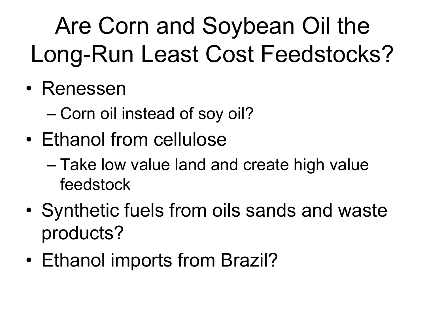## Are Corn and Soybean Oil the Long-Run Least Cost Feedstocks?

- Renessen
	- Corn oil instead of soy oil?
- Ethanol from cellulose
	- Take low value land and create high value feedstock
- Synthetic fuels from oils sands and waste products?
- Ethanol imports from Brazil?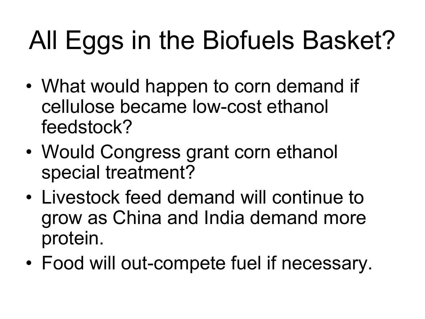## All Eggs in the Biofuels Basket?

- What would happen to corn demand if cellulose became low-cost ethanol feedstock?
- Would Congress grant corn ethanol special treatment?
- Livestock feed demand will continue to grow as China and India demand more protein.
- Food will out-compete fuel if necessary.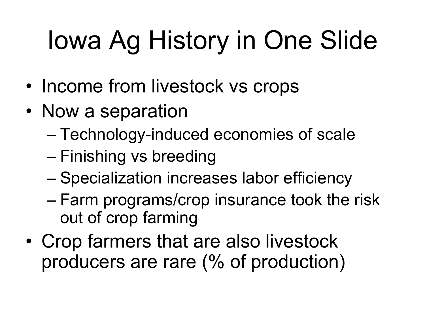# Iowa Ag History in One Slide

- Income from livestock vs crops
- Now a separation
	- Technology-induced economies of scale
	- Finishing vs breeding
	- Specialization increases labor efficiency
	- Farm programs/crop insurance took the risk out of crop farming
- Crop farmers that are also livestock producers are rare (% of production)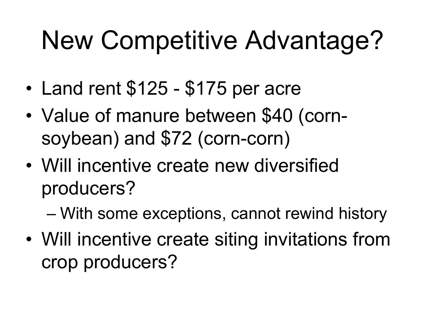## New Competitive Advantage?

- Land rent \$125 \$175 per acre
- Value of manure between \$40 (cornsoybean) and \$72 (corn-corn)
- Will incentive create new diversified producers?
	- With some exceptions, cannot rewind history
- Will incentive create siting invitations from crop producers?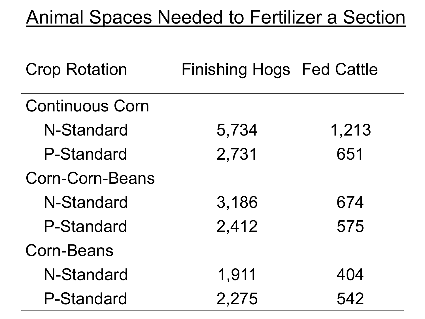### Animal Spaces Needed to Fertilizer a Section

| <b>Crop Rotation</b>   | <b>Finishing Hogs Fed Cattle</b> |       |
|------------------------|----------------------------------|-------|
| <b>Continuous Corn</b> |                                  |       |
| N-Standard             | 5,734                            | 1,213 |
| <b>P-Standard</b>      | 2,731                            | 651   |
| Corn-Corn-Beans        |                                  |       |
| N-Standard             | 3,186                            | 674   |
| P-Standard             | 2,412                            | 575   |
| <b>Corn-Beans</b>      |                                  |       |
| N-Standard             | 1,911                            | 404   |
| <b>P-Standard</b>      | 2,275                            | 542   |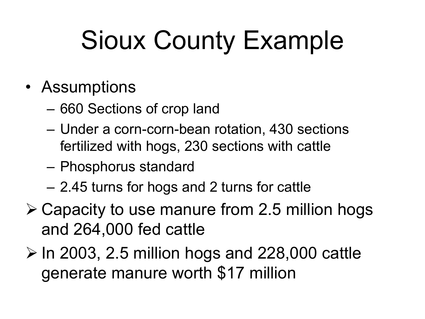## Sioux County Example

- Assumptions
	- 660 Sections of crop land
	- Under a corn-corn-bean rotation, 430 sections fertilized with hogs, 230 sections with cattle
	- Phosphorus standard
	- 2.45 turns for hogs and 2 turns for cattle
- $\geq$  Capacity to use manure from 2.5 million hogs and 264,000 fed cattle
- $\triangleright$  In 2003, 2.5 million hogs and 228,000 cattle generate manure worth \$17 million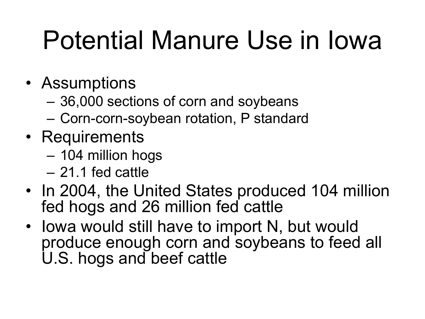## Potential Manure Use in Iowa

- Assumptions
	- 36,000 sections of corn and soybeans
	- Corn-corn-soybean rotation, P standard
- Requirements
	- 104 million hogs
	- 21.1 fed cattle
- In 2004, the United States produced 104 million fed hogs and 26 million fed cattle
- Iowa would still have to import N, but would produce enough corn and soybeans to feed all U.S. hogs and beef cattle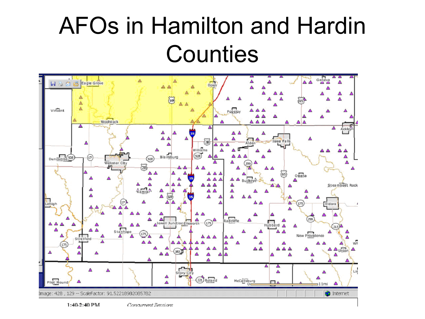### AFOs in Hamilton and Hardin **Counties**

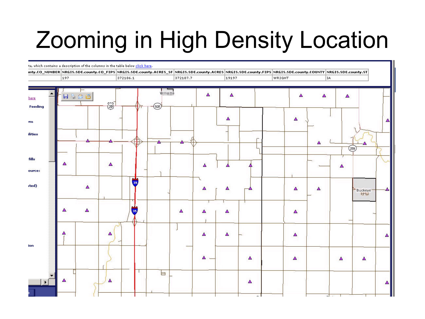### Zooming in High Density Location

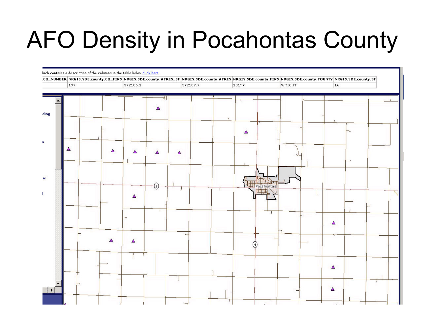### AFO Density in Pocahontas County

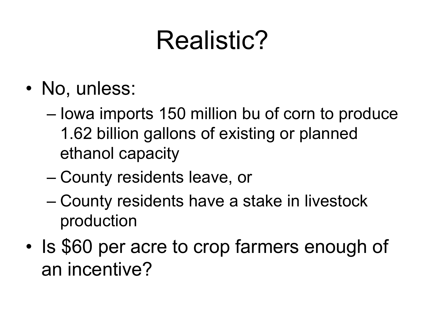## Realistic?

- No, unless:
	- Iowa imports 150 million bu of corn to produce 1.62 billion gallons of existing or planned ethanol capacity
	- County residents leave, or
	- County residents have a stake in livestock production
- Is \$60 per acre to crop farmers enough of an incentive?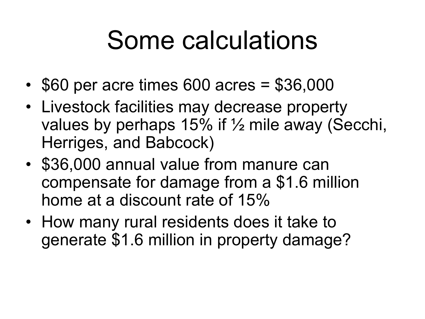## Some calculations

- \$60 per acre times 600 acres = \$36,000
- Livestock facilities may decrease property values by perhaps 15% if ½ mile away (Secchi, Herriges, and Babcock)
- \$36,000 annual value from manure can compensate for damage from a \$1.6 million home at a discount rate of 15%
- How many rural residents does it take to generate \$1.6 million in property damage?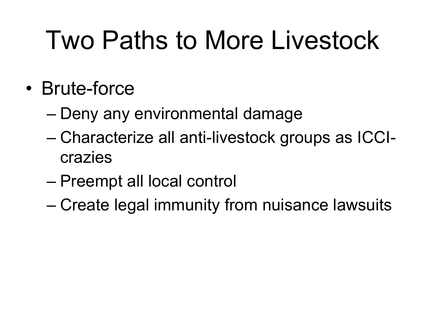## Two Paths to More Livestock

- Brute-force
	- Deny any environmental damage
	- Characterize all anti-livestock groups as ICCIcrazies
	- Preempt all local control
	- Create legal immunity from nuisance lawsuits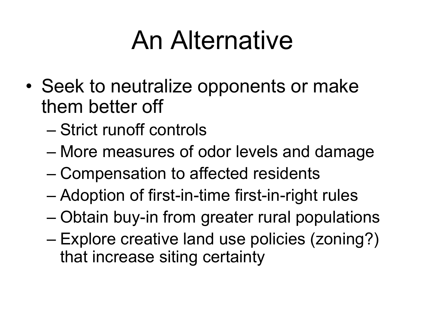## An Alternative

- Seek to neutralize opponents or make them better off
	- Strict runoff controls
	- More measures of odor levels and damage
	- Compensation to affected residents
	- Adoption of first-in-time first-in-right rules
	- Obtain buy-in from greater rural populations
	- Explore creative land use policies (zoning?) that increase siting certainty